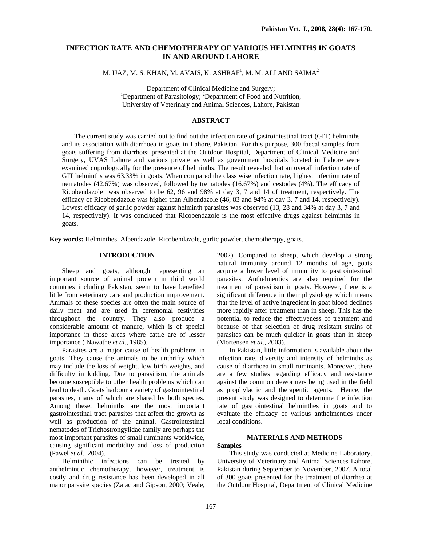# **INFECTION RATE AND CHEMOTHERAPY OF VARIOUS HELMINTHS IN GOATS IN AND AROUND LAHORE**

M. IJAZ, M. S. KHAN, M. AVAIS, K. ASHRAF $^{\rm l}$ , M. M. ALI AND SAIMA $^{\rm 2}$ 

Department of Clinical Medicine and Surgery; Department of Parasitology; <sup>2</sup>Department of Food and Nutrition, University of Veterinary and Animal Sciences, Lahore, Pakistan

## **ABSTRACT**

The current study was carried out to find out the infection rate of gastrointestinal tract (GIT) helminths and its association with diarrhoea in goats in Lahore, Pakistan. For this purpose, 300 faecal samples from goats suffering from diarrhoea presented at the Outdoor Hospital, Department of Clinical Medicine and Surgery, UVAS Lahore and various private as well as government hospitals located in Lahore were examined coprologically for the presence of helminths. The result revealed that an overall infection rate of GIT helminths was 63.33% in goats. When compared the class wise infection rate, highest infection rate of nematodes (42.67%) was observed, followed by trematodes (16.67%) and cestodes (4%). The efficacy of Ricobendazole was observed to be 62, 96 and 98% at day 3, 7 and 14 of treatment, respectively. The efficacy of Ricobendazole was higher than Albendazole (46, 83 and 94% at day 3, 7 and 14, respectively). Lowest efficacy of garlic powder against helminth parasites was observed (13, 28 and 34% at day 3, 7 and 14, respectively). It was concluded that Ricobendazole is the most effective drugs against helminths in goats.

**Key words:** Helminthes, Albendazole, Ricobendazole, garlic powder, chemotherapy, goats.

## **INTRODUCTION**

Sheep and goats, although representing an important source of animal protein in third world countries including Pakistan, seem to have benefited little from veterinary care and production improvement. Animals of these species are often the main source of daily meat and are used in ceremonial festivities throughout the country. They also produce a considerable amount of manure, which is of special importance in those areas where cattle are of lesser importance ( Nawathe *et al*., 1985).

Parasites are a major cause of health problems in goats. They cause the animals to be unthrifty which may include the loss of weight, low birth weights, and difficulty in kidding. Due to parasitism, the animals become susceptible to other health problems which can lead to death. Goats harbour a variety of gastrointestinal parasites, many of which are shared by both species. Among these, helminths are the most important gastrointestinal tract parasites that affect the growth as well as production of the animal. Gastrointestinal nematodes of Trichostrongylidae family are perhaps the most important parasites of small ruminants worldwide, causing significant morbidity and loss of production (Pawel *et al*., 2004).

Helminthic infections can be treated by anthelmintic chemotherapy, however, treatment is costly and drug resistance has been developed in all major parasite species (Zajac and Gipson, 2000; Veale,

2002). Compared to sheep, which develop a strong natural immunity around 12 months of age, goats acquire a lower level of immunity to gastrointestinal parasites. Anthelmentics are also required for the treatment of parasitism in goats. However, there is a significant difference in their physiology which means that the level of active ingredient in goat blood declines more rapidly after treatment than in sheep. This has the potential to reduce the effectiveness of treatment and because of that selection of drug resistant strains of parasites can be much quicker in goats than in sheep (Mortensen *et al*., 2003).

In Pakistan, little information is available about the infection rate, diversity and intensity of helminths as cause of diarrhoea in small ruminants. Moreover, there are a few studies regarding efficacy and resistance against the common dewormers being used in the field as prophylactic and therapeutic agents. Hence, the present study was designed to determine the infection rate of gastrointestinal helminthes in goats and to evaluate the efficacy of various anthelmentics under local conditions.

# **MATERIALS AND METHODS**

### **Samples**

This study was conducted at Medicine Laboratory, University of Veterinary and Animal Sciences Lahore, Pakistan during September to November, 2007. A total of 300 goats presented for the treatment of diarrhea at the Outdoor Hospital, Department of Clinical Medicine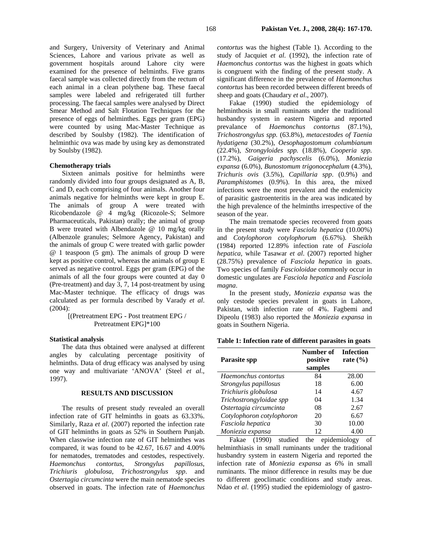and Surgery, University of Veterinary and Animal Sciences, Lahore and various private as well as government hospitals around Lahore city were examined for the presence of helminths. Five grams faecal sample was collected directly from the rectum of each animal in a clean polythene bag. These faecal samples were labeled and refrigerated till further processing. The faecal samples were analysed by Direct Smear Method and Salt Flotation Techniques for the presence of eggs of helminthes. Eggs per gram (EPG) were counted by using Mac-Master Technique as described by Soulsby (1982). The identification of helminthic ova was made by using key as demonstrated by Soulsby (1982).

### **Chemotherapy trials**

Sixteen animals positive for helminths were randomly divided into four groups designated as A, B, C and D, each comprising of four animals. Another four animals negative for helminths were kept in group E. The animals of group A were treated with Ricobendazole @ 4 mg/kg (Ricozole-S; Selmore Pharmaceuticals, Pakistan) orally; the animal of group B were treated with Albendazole @ 10 mg/kg orally (Albenzole granules; Selmore Agency, Pakistan) and the animals of group C were treated with garlic powder @ 1 teaspoon (5 gm). The animals of group D were kept as positive control, whereas the animals of group E served as negative control. Eggs per gram (EPG) of the animals of all the four groups were counted at day 0 (Pre-treatment) and day 3, 7, 14 post-treatment by using Mac-Master technique. The efficacy of drugs was calculated as per formula described by Varady *et al*. (2004):

## [(Pretreatment EPG - Post treatment EPG / Pretreatment EPG]\*100

#### **Statistical analysis**

The data thus obtained were analysed at different angles by calculating percentage positivity of helminths. Data of drug efficacy was analysed by using one way and multivariate 'ANOVA' (Steel *et al*., 1997).

### **RESULTS AND DISCUSSION**

The results of present study revealed an overall infection rate of GIT helminths in goats as 63.33%. Similarly, Raza *et al*. (2007) reported the infection rate of GIT helminths in goats as 52% in Southern Punjab. When classwise infection rate of GIT helminthes was compared, it was found to be 42.67, 16.67 and 4.00% for nematodes, trematodes and cestodes, respectively*. Haemonchus contortus*, *Strongylus papillosus*, *Trichiuris globulosa*, *Trichostrongylus spp*. and *Ostertagia circumcinta* were the main nematode species observed in goats. The infection rate of *Haemonchus* 

*contortus* was the highest (Table 1). According to the study of Jacquiet *et al*. (1992), the infection rate of *Haemonchus contortus* was the highest in goats which is congruent with the finding of the present study. A significant difference in the prevalence of *Haemonchus contortus* has been recorded between different breeds of sheep and goats (Chaudary *et al*., 2007).

Fakae (1990) studied the epidemiology of helminthosis in small ruminants under the traditional husbandry system in eastern Nigeria and reported prevalance of *Haemonchus contortus* (87.1%), *Trichostrongylus spp.* (63.8%), *metacestodes of Taenia hydatigena* (30.2%), *Oesophagostomum columbianum*  (22.4%)*, Strongyloides spp.* (18.8%), *Cooperia spp.*  (17.2%), *Gaigeria pachyscelis* (6.0%), *Moniezia expansa* (6.0%), *Bunostomum trigonocephalum* (4.3%), *Trichuris ovis* (3.5%), *Capillaria spp*. (0.9%) and *Paramphistomes* (0.9%). In this area, the mixed infections were the most prevalent and the endemicity of parasitic gastroenteritis in the area was indicated by the high prevalence of the helminths irrespective of the season of the year.

The main trematode species recovered from goats in the present study were *Fasciola hepatica* (10.00%) and *Cotylophoron cotylophorum* (6.67%)*.* Sheikh (1984) reported 12.89% infection rate of *Fasciola hepatica,* while Tasawar *et al*. (2007) reported higher (28.75%) prevalence of *Fasciola hepatica* in goats. Two species of family *Fascioloidae* commonly occur in domestic ungulates are *Fasciola hepatica* and *Fasciola magna*.

In the present study, *Moniezia expansa* was the only cestode species prevalent in goats in Lahore, Pakistan, with infection rate of 4%. Fagbemi and Dipeolu (1983) also reported the *Moniezia expansa* in goats in Southern Nigeria.

| Table 1: Infection rate of different parasites in goats |  |  |  |
|---------------------------------------------------------|--|--|--|
|---------------------------------------------------------|--|--|--|

| Parasite spp              | Number of<br>positive<br>samples | <b>Infection</b><br>rate $(\% )$ |
|---------------------------|----------------------------------|----------------------------------|
| Haemonchus contortus      | 84                               | 28.00                            |
| Strongylus papillosus     | 18                               | 6.00                             |
| Trichiuris globulosa      | 14                               | 4.67                             |
| Trichostrongyloidae spp   | 04                               | 1.34                             |
| Ostertagia circumcinta    | 08                               | 2.67                             |
| Cotylophoron cotylophoron | 20                               | 6.67                             |
| Fasciola hepatica         | 30                               | 10.00                            |
| Moniezia expansa          | 12                               | 4.00                             |

Fakae (1990) studied the epidemiology of helminthiasis in small ruminants under the traditional husbandry system in eastern Nigeria and reported the infection rate of *Moniezia expansa* as 6% in small ruminants. The minor difference in results may be due to different geoclimatic conditions and study areas. Ndao *et al*. (1995) studied the epidemiology of gastro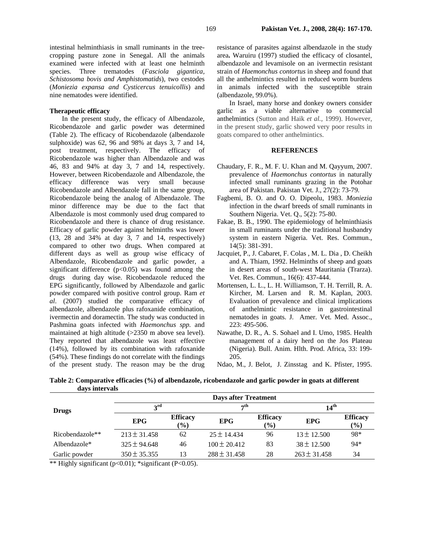intestinal helminthiasis in small ruminants in the treecropping pasture zone in Senegal. All the animals examined were infected with at least one helminth species. Three trematodes (*Fasciola gigantica, Schistosoma bovis and Amphistomatids*), two cestodes (*Moniezia expansa and Cysticercus tenuicollis*) and nine nematodes were identified.

## **Therapeutic efficacy**

In the present study, the efficacy of Albendazole, Ricobendazole and garlic powder was determined (Table 2). The efficacy of Ricobendazole (albendazole sulphoxide) was 62, 96 and 98% at days 3, 7 and 14, post treatment, respectively. The efficacy of Ricobendazole was higher than Albendazole and was 46, 83 and 94% at day 3, 7 and 14, respectively. However, between Ricobendazole and Albendazole, the efficacy difference was very small because Ricobendazole and Albendazole fall in the same group, Ricobendazole being the analog of Albendazole. The minor difference may be due to the fact that Albendazole is most commonly used drug compared to Ricobendazole and there is chance of drug resistance. Efficacy of garlic powder against helminths was lower (13, 28 and 34% at day 3, 7 and 14, respectively) compared to other two drugs. When compared at different days as well as group wise efficacy of Albendazole, Ricobendazole and garlic powder, a significant difference  $(p<0.05)$  was found among the drugs during day wise. Ricobendazole reduced the EPG significantly, followed by Albendazole and garlic powder compared with positive control group. Ram *et al*. (2007) studied the comparative efficacy of albendazole, albendazole plus rafoxanide combination, ivermectin and doramectin. The study was conducted in Pashmina goats infected with *Haemonchus spp.* and maintained at high altitude (>2350 m above sea level). They reported that albendazole was least effective (14%), followed by its combination with rafoxanide (54%). These findings do not correlate with the findings of the present study. The reason may be the drug

resistance of parasites against albendazole in the study area**.** Waruiru (1997) studied the efficacy of closantel, albendazole and levamisole on an ivermectin resistant strain of *Haemonchus contortus* in sheep and found that all the anthelmintics resulted in reduced worm burdens in animals infected with the susceptible strain (albendazole, 99.0%).

In Israel, many horse and donkey owners consider garlic as a viable alternative to commercial anthelmintics (Sutton and Haik *et al.,* 1999). However, in the present study, garlic showed very poor results in goats compared to other anthelmintics.

#### **REFERENCES**

- Chaudary, F. R., M. F. U. Khan and M. Qayyum, 2007. prevalence of *Haemonchus contortus* in naturally infected small ruminants grazing in the Potohar area of Pakistan. Pakistan Vet. J., 27(2): 73-79.
- Fagbemi, B. O. and O. O. Dipeolu, 1983. *Moniezia* infection in the dwarf breeds of small ruminants in Southern Nigeria. Vet. Q., 5(2): 75-80.
- Fakae, B. B., 1990. The epidemiology of helminthiasis in small ruminants under the traditional husbandry system in eastern Nigeria. Vet. Res. Commun., 14(5): 381-391.
- Jacquiet, P., J. Cabaret, F. Colas , M. L. Dia , D. Cheikh and A. Thiam, 1992. Helminths of sheep and goats in desert areas of south-west Mauritania (Trarza). Vet. Res. Commun., 16(6): 437-444.
- Mortensen, L. L., L. H. Williamson, T. H. Terrill, R. A. Kircher, M. Larsen and R. M. Kaplan, 2003. Evaluation of prevalence and clinical implications of anthelmintic resistance in gastrointestinal nematodes in goats. J. Amer. Vet. Med. Assoc., 223: 495-506.
- Nawathe, D. R., A. S. Sohael and I. Umo, 1985. Health management of a dairy herd on the Jos Plateau (Nigeria). Bull. Anim. Hlth. Prod. Africa, 33: 199- 205.
- Ndao, M., J. Belot, J. Zinsstag and K. Pfister, 1995.

**Table 2: Comparative efficacies (%) of albendazole, ricobendazole and garlic powder in goats at different days intervals** 

|                 | <b>Days after Treatment</b> |                                                 |                  |                                  |                  |                           |  |  |
|-----------------|-----------------------------|-------------------------------------------------|------------------|----------------------------------|------------------|---------------------------|--|--|
| <b>Drugs</b>    | $2^{\text{rd}}$             |                                                 | $\tau$ th        |                                  | 14 <sup>th</sup> |                           |  |  |
|                 | <b>EPG</b>                  | <b>Efficacy</b><br>$\left( \frac{0}{0} \right)$ | <b>EPG</b>       | <b>Efficacy</b><br>$\frac{6}{2}$ | <b>EPG</b>       | <b>Efficacy</b><br>$(\%)$ |  |  |
| Ricobendazole** | $213 \pm 31.458$            | 62                                              | $25 \pm 14.434$  | 96                               | $13 \pm 12.500$  | 98*                       |  |  |
| Albendazole $*$ | $325 \pm 94.648$            | 46                                              | $100 \pm 20.412$ | 83                               | $38 \pm 12.500$  | $94*$                     |  |  |
| Garlic powder   | $350 \pm 35.355$            | 13                                              | $288 \pm 31.458$ | 28                               | $263 \pm 31.458$ | 34                        |  |  |

\*\* Highly significant ( $p<0.01$ ); \*significant ( $P<0.05$ ).